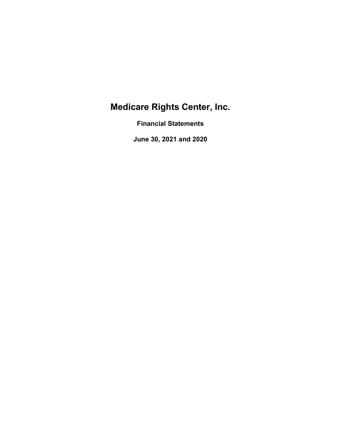Financial Statements

June 30, 2021 and 2020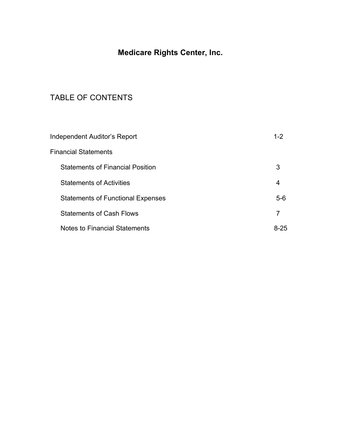## TABLE OF CONTENTS

| <b>Medicare Rights Center, Inc.</b>      |                |
|------------------------------------------|----------------|
| TABLE OF CONTENTS                        |                |
| <b>Independent Auditor's Report</b>      | $1 - 2$        |
| <b>Financial Statements</b>              |                |
| <b>Statements of Financial Position</b>  | 3              |
| <b>Statements of Activities</b>          | $\overline{4}$ |
| <b>Statements of Functional Expenses</b> | $5-6$          |
| <b>Statements of Cash Flows</b>          | $\overline{7}$ |
| <b>Notes to Financial Statements</b>     | $8 - 25$       |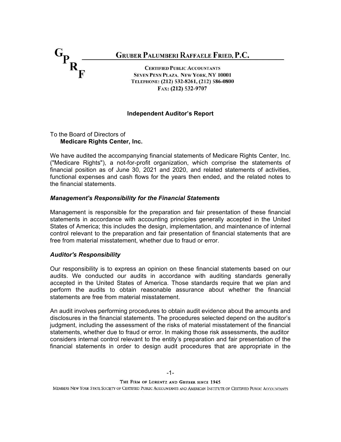

#### Independent Auditor's Report

# Medicare Rights Center, Inc.

We have audited the accompanying financial statements of Medicare Rights Center, Inc. ("Medicare Rights"), a not-for-profit organization, which comprise the statements of the financial statements.

#### Management's Responsibility for the Financial Statements

Management is responsible for the preparation and fair presentation of these financial statements in accordance with accounting principles generally accepted in the United TELEPHONE:  $(212)$  532-8261,  $(212)$  586-0800<br>
FAx:  $(212)$  532-9707<br>
To the Board of Directors of<br> **Medicare Rights Center, Inc.**<br>
We have audited the accompanying financial statements of Medicare Rights Center, Inc.<br>
We control relevant to the preparation and fair presentation of financial statements that are free from material misstatement, whether due to fraud or error.

#### Auditor's Responsibility

Our responsibility is to express an opinion on these financial statements based on our audits. We conducted our audits in accordance with auditing standards generally accepted in the United States of America. Those standards require that we plan and perform the audits to obtain reasonable assurance about whether the financial statements are free from material misstatement.

**financial position as of June 30, 2021 and 2020, and related statements of activities,**<br>the financial statements and cash flows for the years then ended, and the related notes to<br>the financial statements.<br>**Management's Re** disclosures in the financial statements. The procedures selected depend on the auditor's judgment, including the assessment of the risks of material misstatement of the financial statements, whether due to fraud or error. In making those risk assessments, the auditor considers internal control relevant to the entity's preparation and fair presentation of the financial statements in order to design audit procedures that are appropriate in the

THE FIRM OF LORENTZ AND GRUBER SINCE 1945

MEMBERS NEW YORK STATE SOCIETY OF CERTIFIED PUBLIC ACCOUNTANTS AND AMERICAN INSTITUTE OF CERTIFIED PUBLIC ACCOUNTANTS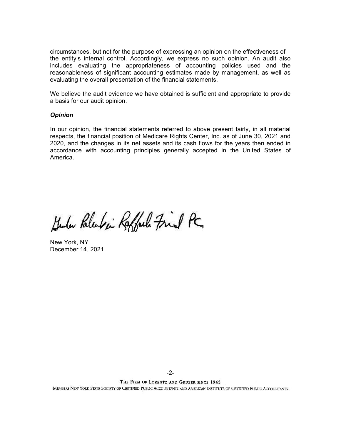circumstances, but not for the purpose of expressing an opinion on the effectiveness of the entity's internal control. Accordingly, we express no such opinion. An audit also includes evaluating the appropriateness of accounting policies used and the reasonableness of significant accounting estimates made by management, as well as evaluating the overall presentation of the financial statements.

We believe the audit evidence we have obtained is sufficient and appropriate to provide a basis for our audit opinion.

#### **Opinion**

In our opinion, the financial statements referred to above present fairly, in all material respects, the financial position of Medicare Rights Center, Inc. as of June 30, 2021 and 2020, and the changes in its net assets and its cash flows for the years then ended in accordance with accounting principles generally accepted in the United States of America.

Kulu Palentin Raffeel Fried PC

New York, NY December 14, 2021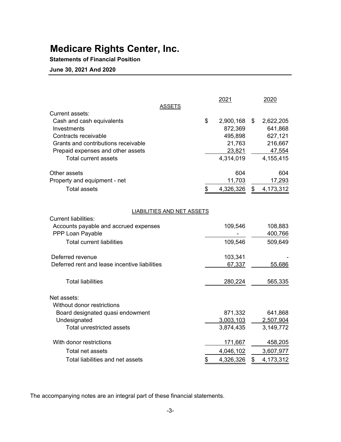### Statements of Financial Position

| <b>Medicare Rights Center, Inc.</b>                  |                              |      |                        |
|------------------------------------------------------|------------------------------|------|------------------------|
| <b>Statements of Financial Position</b>              |                              |      |                        |
| June 30, 2021 And 2020                               |                              |      |                        |
|                                                      |                              |      |                        |
|                                                      |                              |      |                        |
|                                                      | 2021                         |      | 2020                   |
| <b>ASSETS</b>                                        |                              |      |                        |
| Current assets:<br>Cash and cash equivalents         | \$<br>2,900,168              | - \$ | 2,622,205              |
| Investments                                          | 872,369                      |      | 641,868                |
| Contracts receivable                                 | 495,898                      |      | 627,121                |
| Grants and contributions receivable                  | 21,763                       |      | 216,667                |
| Prepaid expenses and other assets                    | 23,821                       |      | 47,554                 |
| <b>Total current assets</b>                          | 4,314,019                    |      | 4,155,415              |
|                                                      |                              |      |                        |
| Other assets                                         | 604                          |      | 604                    |
| Property and equipment - net                         | 11,703                       |      | 17,293                 |
| <b>Total assets</b>                                  | 4,326,326                    | \$   | 4,173,312              |
|                                                      |                              |      |                        |
| <b>LIABILITIES AND NET ASSETS</b>                    |                              |      |                        |
| <b>Current liabilities:</b>                          |                              |      |                        |
| Accounts payable and accrued expenses                | 109,546                      |      | 108,883                |
| PPP Loan Payable                                     |                              |      | 400,766                |
| <b>Total current liabilities</b>                     | 109,546                      |      | 509,649                |
|                                                      |                              |      |                        |
| Deferred revenue                                     | 103,341                      |      |                        |
| Deferred rent and lease incentive liabilities        | 67,337                       |      | 55,686                 |
|                                                      |                              |      |                        |
| <b>Total liabilities</b>                             | 280,224                      |      | 565,335                |
|                                                      |                              |      |                        |
| Net assets:                                          |                              |      |                        |
| Without donor restrictions                           |                              |      |                        |
|                                                      | 871,332                      |      | 641,868                |
| Board designated quasi endowment                     | 3,003,103                    |      | 2,507,904<br>3,149,772 |
| Undesignated                                         |                              |      |                        |
| Total unrestricted assets                            | 3,874,435                    |      |                        |
|                                                      |                              |      |                        |
| With donor restrictions                              | 171,667                      |      | 458,205                |
| Total net assets<br>Total liabilities and net assets | \$<br>4,046,102<br>4,326,326 | \$   | 3,607,977<br>4,173,312 |

The accompanying notes are an integral part of these financial statements.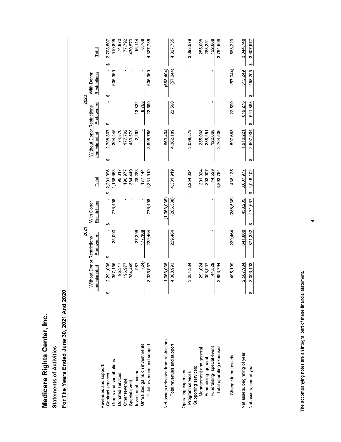**Statements of Activities** 

For The Years Ended June 30, 2021 And 2020

|                                               |                                            | 2021      |                            |                 |                                                   | 2020         |                            |                 |
|-----------------------------------------------|--------------------------------------------|-----------|----------------------------|-----------------|---------------------------------------------------|--------------|----------------------------|-----------------|
|                                               | Without Donor Restrictions<br>Undesignated | Endowment | Restrictions<br>With Donor | Total           | <b>Nithout Donor Restrictions</b><br>Undesignated | Endowment    | Restrictions<br>With Donor | <u>Total</u>    |
| Revenues and support:                         | ↔                                          | မာ        | ക                          | 2,291,096<br>မာ | 2,708,807<br>မာ                                   | ↔            | မာ                         | 2.708.807<br>မာ |
| Grants and contributions<br>Contract services | 2,291,096<br>357,155                       | 25,000    | 776,498                    | 1,158,653       | 304,445                                           |              | 606,360                    | 910,805         |
|                                               |                                            |           |                            | 95,317          |                                                   |              |                            |                 |
| Donated services                              | 95,317                                     |           |                            |                 | 74,870                                            |              |                            | 74,870          |
| Other revenue                                 | 196,977                                    |           |                            | 196,977         | 177,792                                           |              |                            | 177,792         |
| Special event                                 | 384,449                                    |           |                            | 384,449         | 430,579                                           |              |                            | 430,579         |
| Investment income                             | 987                                        | 27,296    |                            | 28,283          | 2,292                                             | 13,822       |                            | 16,114          |
| Unrealized gains on investments               | (24)                                       | 177,168   |                            | 177,144         |                                                   | 8.768        |                            | 8,768           |
| Total revenues and support:                   | 3,325,957                                  | 229,464   | 776,498                    | 4,331,919       | 3,698,785                                         | 22,590       | 606,360                    | 4,327,735       |
| Net assets released from restrictions:        | 1.063.036                                  |           | (1,063,036)                |                 | 663,404                                           |              | (663, 404)                 |                 |
|                                               |                                            |           |                            |                 |                                                   |              |                            |                 |
| Total revenues and support                    | 4,388,993                                  | 229,464   | (286, 538)                 | 4,331,919       | 4,362,189                                         | 22,590       | (57,044)                   | 4,327,735       |
| Operating expenses:                           |                                            |           |                            |                 |                                                   |              |                            |                 |
| Program services                              | 3,254,334                                  |           |                            | 3,254,334       | 3,098,579                                         |              |                            | 3,098,579       |
| Supporting services:                          |                                            |           |                            |                 |                                                   |              |                            |                 |
| Management and general                        | 291,024                                    |           |                            | 291,024         | 255,008                                           |              |                            | 255,008         |
| Fundraising-general                           | 303,907                                    |           |                            | 303,907         | 288,251                                           |              |                            | 288,251         |
| Fundraising special event                     | 44,529                                     |           |                            | 44,529          | 122,668                                           |              |                            | 122,668         |
| Total operating expenses                      | 3.893.794                                  |           |                            | 3.893.794       | 3.764.506                                         |              |                            | 3,764,506       |
| Change in net assets                          | 495,199                                    | 229,464   | (286, 538)                 | 438,125         | 597,683                                           | 22,590       | (57,044)                   | 563,229         |
| Net assets, beginning of year                 | 2,507,904                                  | 641,868   | 458,205                    | 3,607,977       | 1,910,221                                         | 619,278      | 515,249                    | 3,044,748       |
| Net assets, end of year                       | 3,003,103                                  | 871,332   | 171,667<br>↔               | \$4,046,102     | 2,507,904<br>↮                                    | 641,868<br>↮ | 458,205<br>↮               | 3,607,977<br>↮  |
|                                               |                                            |           |                            |                 |                                                   |              |                            |                 |

The accompanying notes are an integral part of these financial statement.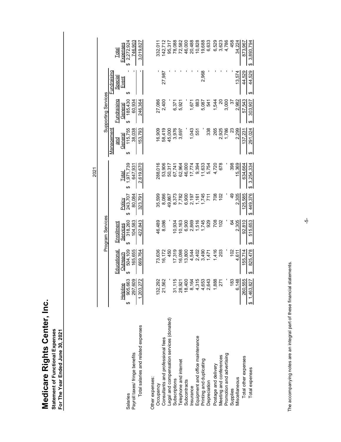| 4,786<br>6,633<br>6,529<br>3,623<br>458<br>78,088<br>72,582<br>46,000<br>20,488<br>10,828<br>19,688<br>3,893,794<br>$$2,272,924$<br>$746.903$<br>3,019,827<br>142,712<br>34,224<br>332,011<br>95,317<br>873,967<br>Expenses<br>Total<br>$\theta$<br><b>Fundraising</b><br>2,968<br>44,529<br>44,529<br>$\overline{\phantom{a}}$<br>$\mathbf{I}$<br>٠<br>13,574<br>27,987<br>Special<br>Event<br>↮<br>↮<br><b>Supporting Services</b><br>185,430<br><b>Fundraising</b><br>246,364<br>57,543<br>27,086<br>2,400<br>3,000<br>2,982<br>60,934<br>$\Omega$<br>6,371<br>883<br>541<br>1,544<br>303,907<br>1,671<br>5,921<br>55<br>5,087<br>General<br>$\Theta$<br>ఱ<br><b>Management</b><br>115,755<br>38,038<br>153,793<br>58,419<br>45,000<br>3,976<br>1,786<br>2,299<br>16,909<br>1,043<br>338<br>265<br>2,925<br>23<br>137,231<br>291,024<br>3,697<br>551<br>General<br>and<br>$\boldsymbol{\varphi}$<br>↮<br>1,971,739<br>647,931<br>2,619,670<br>288,016<br>53,906<br>15,369<br>\$3,254,334<br>67,741<br>62,964<br>46,000<br>17,774<br>11,633<br>5,754<br>4,720<br>678<br>398<br>634,664<br>50,317<br>9,394<br>2021<br>Total<br>$\Theta$<br>2,305<br>8,373<br>125,585<br>\$449,376<br>243,707<br>80,084<br>323,791<br>35,599<br>8,086<br>7,782<br>6,900<br>1,745<br>708<br>QÞ<br>49,867<br>711<br>102<br>2,197<br>Policy<br>$\Theta$<br>Program Services<br>2,305<br>92,810<br>515,653<br>318,260<br>422,843<br>929<br>708<br>46,489<br>$\begin{array}{c} 10,163 \\ 6,900 \end{array}$<br>2,869<br>1,516<br>1,745<br>102<br>3<br>8,086<br>10,934<br>Enrollment<br>Services<br>$\Theta$<br>$\Theta$<br>825,478<br>504,109<br>165,655<br>669,764<br>Educational<br>450<br>1,416<br>102<br>4,611<br>155,714<br>73,636<br>16,172<br>17,319<br>16,098<br>13,800<br>4,544<br>3,490<br>203<br>2,402<br>1,471<br>Outreach<br>$\Theta$<br>$\boldsymbol{\varphi}$<br>1,203,272<br>260,555<br>905,663<br>132,292<br>21,562<br>31,115<br>18,400<br>8,164<br>4,315<br>4,653<br>2,643<br>1,888<br>183<br>6,148<br>\$1,463,827<br>28,921<br>271<br>Helpline<br>↔<br>Legal and compensation services (donated)<br>Total salaries and related expenses<br>Equipment and office maintenance<br>Consultants and professional fees<br>Salaries<br>Payroll taxes/ fringe benefits<br>Promotion and advertising<br>Meeting and conferences<br>Total other expenses<br>Printing and duplicating<br>Telephone and internet<br>Postage and delivery<br>Total expenses<br>Other expenses:<br>Miscellaneous<br>Subscriptions<br>Subcontracts<br>Depreciation<br>Occupancy<br>Insurance<br>Supplies | Statement of Functional Expenses<br>For The Year Ended June 30, 2021 |  |     |  |  |  |
|-------------------------------------------------------------------------------------------------------------------------------------------------------------------------------------------------------------------------------------------------------------------------------------------------------------------------------------------------------------------------------------------------------------------------------------------------------------------------------------------------------------------------------------------------------------------------------------------------------------------------------------------------------------------------------------------------------------------------------------------------------------------------------------------------------------------------------------------------------------------------------------------------------------------------------------------------------------------------------------------------------------------------------------------------------------------------------------------------------------------------------------------------------------------------------------------------------------------------------------------------------------------------------------------------------------------------------------------------------------------------------------------------------------------------------------------------------------------------------------------------------------------------------------------------------------------------------------------------------------------------------------------------------------------------------------------------------------------------------------------------------------------------------------------------------------------------------------------------------------------------------------------------------------------------------------------------------------------------------------------------------------------------------------------------------------------------------------------------------------------------------------------------------------------------------------------------------------------------------------------------------------------------------------------------------------------------------------------------------------------------------------------------------------------------------------------------------------------------------------------------------------------------------------------------------------------------|----------------------------------------------------------------------|--|-----|--|--|--|
|                                                                                                                                                                                                                                                                                                                                                                                                                                                                                                                                                                                                                                                                                                                                                                                                                                                                                                                                                                                                                                                                                                                                                                                                                                                                                                                                                                                                                                                                                                                                                                                                                                                                                                                                                                                                                                                                                                                                                                                                                                                                                                                                                                                                                                                                                                                                                                                                                                                                                                                                                                         |                                                                      |  |     |  |  |  |
|                                                                                                                                                                                                                                                                                                                                                                                                                                                                                                                                                                                                                                                                                                                                                                                                                                                                                                                                                                                                                                                                                                                                                                                                                                                                                                                                                                                                                                                                                                                                                                                                                                                                                                                                                                                                                                                                                                                                                                                                                                                                                                                                                                                                                                                                                                                                                                                                                                                                                                                                                                         |                                                                      |  |     |  |  |  |
|                                                                                                                                                                                                                                                                                                                                                                                                                                                                                                                                                                                                                                                                                                                                                                                                                                                                                                                                                                                                                                                                                                                                                                                                                                                                                                                                                                                                                                                                                                                                                                                                                                                                                                                                                                                                                                                                                                                                                                                                                                                                                                                                                                                                                                                                                                                                                                                                                                                                                                                                                                         |                                                                      |  |     |  |  |  |
|                                                                                                                                                                                                                                                                                                                                                                                                                                                                                                                                                                                                                                                                                                                                                                                                                                                                                                                                                                                                                                                                                                                                                                                                                                                                                                                                                                                                                                                                                                                                                                                                                                                                                                                                                                                                                                                                                                                                                                                                                                                                                                                                                                                                                                                                                                                                                                                                                                                                                                                                                                         |                                                                      |  |     |  |  |  |
|                                                                                                                                                                                                                                                                                                                                                                                                                                                                                                                                                                                                                                                                                                                                                                                                                                                                                                                                                                                                                                                                                                                                                                                                                                                                                                                                                                                                                                                                                                                                                                                                                                                                                                                                                                                                                                                                                                                                                                                                                                                                                                                                                                                                                                                                                                                                                                                                                                                                                                                                                                         |                                                                      |  |     |  |  |  |
|                                                                                                                                                                                                                                                                                                                                                                                                                                                                                                                                                                                                                                                                                                                                                                                                                                                                                                                                                                                                                                                                                                                                                                                                                                                                                                                                                                                                                                                                                                                                                                                                                                                                                                                                                                                                                                                                                                                                                                                                                                                                                                                                                                                                                                                                                                                                                                                                                                                                                                                                                                         |                                                                      |  |     |  |  |  |
|                                                                                                                                                                                                                                                                                                                                                                                                                                                                                                                                                                                                                                                                                                                                                                                                                                                                                                                                                                                                                                                                                                                                                                                                                                                                                                                                                                                                                                                                                                                                                                                                                                                                                                                                                                                                                                                                                                                                                                                                                                                                                                                                                                                                                                                                                                                                                                                                                                                                                                                                                                         |                                                                      |  |     |  |  |  |
|                                                                                                                                                                                                                                                                                                                                                                                                                                                                                                                                                                                                                                                                                                                                                                                                                                                                                                                                                                                                                                                                                                                                                                                                                                                                                                                                                                                                                                                                                                                                                                                                                                                                                                                                                                                                                                                                                                                                                                                                                                                                                                                                                                                                                                                                                                                                                                                                                                                                                                                                                                         |                                                                      |  |     |  |  |  |
|                                                                                                                                                                                                                                                                                                                                                                                                                                                                                                                                                                                                                                                                                                                                                                                                                                                                                                                                                                                                                                                                                                                                                                                                                                                                                                                                                                                                                                                                                                                                                                                                                                                                                                                                                                                                                                                                                                                                                                                                                                                                                                                                                                                                                                                                                                                                                                                                                                                                                                                                                                         |                                                                      |  |     |  |  |  |
|                                                                                                                                                                                                                                                                                                                                                                                                                                                                                                                                                                                                                                                                                                                                                                                                                                                                                                                                                                                                                                                                                                                                                                                                                                                                                                                                                                                                                                                                                                                                                                                                                                                                                                                                                                                                                                                                                                                                                                                                                                                                                                                                                                                                                                                                                                                                                                                                                                                                                                                                                                         |                                                                      |  |     |  |  |  |
|                                                                                                                                                                                                                                                                                                                                                                                                                                                                                                                                                                                                                                                                                                                                                                                                                                                                                                                                                                                                                                                                                                                                                                                                                                                                                                                                                                                                                                                                                                                                                                                                                                                                                                                                                                                                                                                                                                                                                                                                                                                                                                                                                                                                                                                                                                                                                                                                                                                                                                                                                                         |                                                                      |  |     |  |  |  |
|                                                                                                                                                                                                                                                                                                                                                                                                                                                                                                                                                                                                                                                                                                                                                                                                                                                                                                                                                                                                                                                                                                                                                                                                                                                                                                                                                                                                                                                                                                                                                                                                                                                                                                                                                                                                                                                                                                                                                                                                                                                                                                                                                                                                                                                                                                                                                                                                                                                                                                                                                                         |                                                                      |  |     |  |  |  |
|                                                                                                                                                                                                                                                                                                                                                                                                                                                                                                                                                                                                                                                                                                                                                                                                                                                                                                                                                                                                                                                                                                                                                                                                                                                                                                                                                                                                                                                                                                                                                                                                                                                                                                                                                                                                                                                                                                                                                                                                                                                                                                                                                                                                                                                                                                                                                                                                                                                                                                                                                                         |                                                                      |  |     |  |  |  |
|                                                                                                                                                                                                                                                                                                                                                                                                                                                                                                                                                                                                                                                                                                                                                                                                                                                                                                                                                                                                                                                                                                                                                                                                                                                                                                                                                                                                                                                                                                                                                                                                                                                                                                                                                                                                                                                                                                                                                                                                                                                                                                                                                                                                                                                                                                                                                                                                                                                                                                                                                                         |                                                                      |  | ယုံ |  |  |  |
| The accompanying notes are an integral part of these financial statements.                                                                                                                                                                                                                                                                                                                                                                                                                                                                                                                                                                                                                                                                                                                                                                                                                                                                                                                                                                                                                                                                                                                                                                                                                                                                                                                                                                                                                                                                                                                                                                                                                                                                                                                                                                                                                                                                                                                                                                                                                                                                                                                                                                                                                                                                                                                                                                                                                                                                                              |                                                                      |  |     |  |  |  |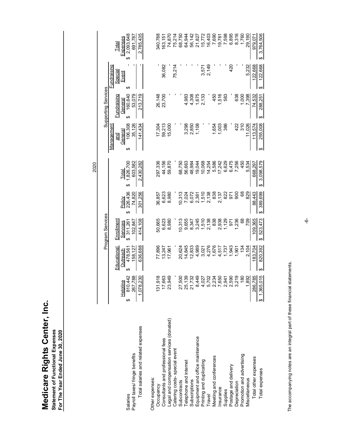|                                                                                            |                                                                                 | 2020                                                                                              |                                                                                             |                                        |                                                  |                                              |
|--------------------------------------------------------------------------------------------|---------------------------------------------------------------------------------|---------------------------------------------------------------------------------------------------|---------------------------------------------------------------------------------------------|----------------------------------------|--------------------------------------------------|----------------------------------------------|
| Program Services                                                                           |                                                                                 |                                                                                                   |                                                                                             | Supporting Services                    |                                                  |                                              |
| <u>Enrollment</u><br>Services<br>311,261<br>↮<br><b>Educational</b><br>Outreach<br>478,561 | ↮                                                                               | 1,826,700<br>Total                                                                                | lanagement<br>General<br>and<br>∣≥∣<br>↔                                                    | General<br>160,640<br>Fundraising<br>↮ | <u>Fundraising</u><br>٠<br>Special<br>Event<br>↔ | Expenses<br>3 2,093,648<br><b>Total</b><br>↮ |
| 414,108<br>636,688                                                                         | 301,256                                                                         | 2,430,282                                                                                         | 141,434                                                                                     | 213,719                                |                                                  | 2,785,435<br>691,787                         |
|                                                                                            |                                                                                 |                                                                                                   |                                                                                             |                                        |                                                  | 340,788                                      |
| 6,623<br>13,247                                                                            | 6,623                                                                           | 44,156                                                                                            | 59,213                                                                                      | 23,700                                 | 36,082                                           | 74,870<br>163,151                            |
|                                                                                            |                                                                                 |                                                                                                   |                                                                                             |                                        | 75,214                                           | 75,214                                       |
| 9,655<br>14,845                                                                            | 7,024                                                                           | 56,663                                                                                            |                                                                                             | 4,983                                  |                                                  | 68,750<br>64,944                             |
|                                                                                            |                                                                                 |                                                                                                   |                                                                                             |                                        | $\mathbf{I}$                                     | 56,142<br>21,827                             |
| 1,510<br>3,021                                                                             | 1,510                                                                           | 10,068                                                                                            |                                                                                             | 2,133                                  | 3,571                                            | 15,772<br>16,403                             |
|                                                                                            |                                                                                 |                                                                                                   |                                                                                             |                                        |                                                  | 7,690                                        |
| 2,938<br>4,517                                                                             | 2,137                                                                           | 17,242                                                                                            | 1,003<br>386                                                                                | 1,516                                  |                                                  | 19,761                                       |
| 971<br>1,943                                                                               | 971                                                                             |                                                                                                   |                                                                                             |                                        |                                                  |                                              |
| 1,236<br>1,901                                                                             |                                                                                 |                                                                                                   |                                                                                             | 583                                    | 420                                              | 7,598                                        |
|                                                                                            | 800                                                                             | 6,475<br>7,256                                                                                    | 422                                                                                         | 638                                    |                                                  | 6,895<br>8,316                               |
| 89<br>134                                                                                  | 89                                                                              | 450                                                                                               | 310                                                                                         | 1,000                                  |                                                  | 1,760                                        |
| 709<br>109,365<br>2.104<br>183,704                                                         | 829<br>88,443                                                                   | 5,534<br>668,297                                                                                  | 11.026<br>113,574                                                                           | 7.398<br>74,532                        | 5.232<br>122,668                                 | 29,190<br>979,071                            |
| 77,896<br>12,833<br>4,989<br>4,276<br>1,676<br>20,624<br>158,127<br>17,961<br>1,737        | 838<br>1,129<br>50,665<br>8,980<br>10,313<br>3,245<br>2,138<br>102,847<br>8,347 | Policy<br>226,436<br>74,820<br>8,980<br>10,313<br>2,138<br>838<br>6,072<br>822<br>36,857<br>2,361 | 297,336<br>59,870<br>68,750<br>5,586<br>603,582<br>48,984<br>19,044<br>14,254<br>6,629<br>↮ | 15,000<br>17,304<br>1,654              | 450<br>106,308<br>3,298<br>2,850<br>1,108        | 2,149<br>53,079<br>26,148<br>4,308<br>1,675  |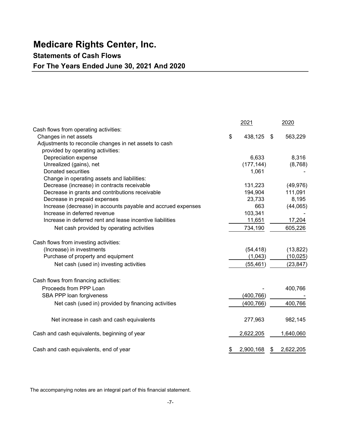### Statements of Cash Flows

### For The Years Ended June 30, 2021 And 2020

| <b>Medicare Rights Center, Inc.</b>                                                          |                      |      |                        |
|----------------------------------------------------------------------------------------------|----------------------|------|------------------------|
| <b>Statements of Cash Flows</b>                                                              |                      |      |                        |
| For The Years Ended June 30, 2021 And 2020                                                   |                      |      |                        |
|                                                                                              |                      |      |                        |
|                                                                                              |                      |      |                        |
|                                                                                              |                      |      |                        |
|                                                                                              |                      |      |                        |
|                                                                                              | 2021                 |      | 2020                   |
| Cash flows from operating activities:                                                        |                      |      |                        |
| Changes in net assets<br>Adjustments to reconcile changes in net assets to cash              | \$<br>438,125        | - \$ | 563,229                |
| provided by operating activities:                                                            |                      |      |                        |
| Depreciation expense                                                                         | 6,633                |      | 8,316                  |
| Unrealized (gains), net                                                                      | (177, 144)           |      | (8,768)                |
| Donated securities                                                                           | 1,061                |      |                        |
| Change in operating assets and liabilities:                                                  |                      |      |                        |
| Decrease (increase) in contracts receivable                                                  | 131,223              |      | (49, 976)              |
| Decrease in grants and contributions receivable                                              | 194,904              |      | 111,091                |
| Decrease in prepaid expenses<br>Increase (decrease) in accounts payable and accrued expenses | 23,733<br>663        |      | 8,195<br>(44,065)      |
| Increase in deferred revenue                                                                 | 103,341              |      |                        |
| Increase in deferred rent and lease incentive liabilities                                    | 11,651               |      | 17,204                 |
| Net cash provided by operating activities                                                    | 734,190              |      | 605,226                |
|                                                                                              |                      |      |                        |
| Cash flows from investing activities:                                                        |                      |      |                        |
| (Increase) in investments<br>Purchase of property and equipment                              | (54, 418)            |      | (13, 822)              |
| Net cash (used in) investing activities                                                      | (1,043)<br>(55, 461) |      | (10, 025)<br>(23, 847) |
|                                                                                              |                      |      |                        |
| Cash flows from financing activities:                                                        |                      |      |                        |
| Proceeds from PPP Loan                                                                       |                      |      | 400,766                |
| SBA PPP loan forgiveness                                                                     | (400, 766)           |      |                        |
| Net cash (used in) provided by financing activities                                          | (400, 766)           |      | 400,766                |
|                                                                                              |                      |      |                        |
| Net increase in cash and cash equivalents                                                    | 277,963              |      | 982,145                |
| Cash and cash equivalents, beginning of year                                                 | 2,622,205            |      | 1,640,060              |
|                                                                                              |                      |      |                        |

The accompanying notes are an integral part of this financial statement.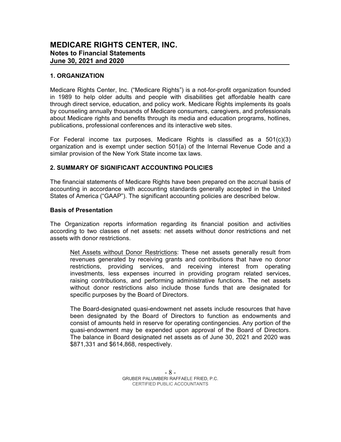#### 1. ORGANIZATION

Medicare Rights Center, Inc. ("Medicare Rights") is a not-for-profit organization founded in 1989 to help older adults and people with disabilities get affordable health care through direct service, education, and policy work. Medicare Rights implements its goals by counseling annually thousands of Medicare consumers, caregivers, and professionals about Medicare rights and benefits through its media and education programs, hotlines, publications, professional conferences and its interactive web sites.

For Federal income tax purposes, Medicare Rights is classified as a 501(c)(3) organization and is exempt under section 501(a) of the Internal Revenue Code and a similar provision of the New York State income tax laws.

#### 2. SUMMARY OF SIGNIFICANT ACCOUNTING POLICIES

The financial statements of Medicare Rights have been prepared on the accrual basis of accounting in accordance with accounting standards generally accepted in the United States of America ("GAAP"). The significant accounting policies are described below.

#### Basis of Presentation

The Organization reports information regarding its financial position and activities according to two classes of net assets: net assets without donor restrictions and net assets with donor restrictions.

Net Assets without Donor Restrictions: These net assets generally result from revenues generated by receiving grants and contributions that have no donor restrictions, providing services, and receiving interest from operating investments, less expenses incurred in providing program related services, raising contributions, and performing administrative functions. The net assets without donor restrictions also include those funds that are designated for specific purposes by the Board of Directors.

The Board-designated quasi-endowment net assets include resources that have been designated by the Board of Directors to function as endowments and consist of amounts held in reserve for operating contingencies. Any portion of the quasi-endowment may be expended upon approval of the Board of Directors. The balance in Board designated net assets as of June 30, 2021 and 2020 was \$871,331 and \$614,868, respectively.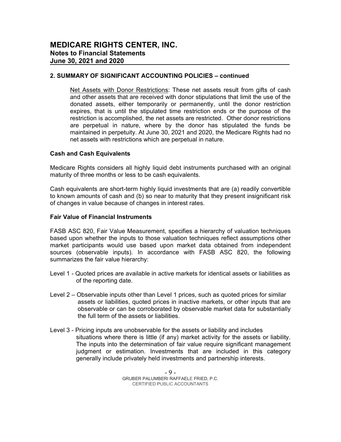Net Assets with Donor Restrictions: These net assets result from gifts of cash and other assets that are received with donor stipulations that limit the use of the donated assets, either temporarily or permanently, until the donor restriction expires, that is until the stipulated time restriction ends or the purpose of the restriction is accomplished, the net assets are restricted. Other donor restrictions are perpetual in nature, where by the donor has stipulated the funds be maintained in perpetuity. At June 30, 2021 and 2020, the Medicare Rights had no net assets with restrictions which are perpetual in nature.

#### Cash and Cash Equivalents

Medicare Rights considers all highly liquid debt instruments purchased with an original maturity of three months or less to be cash equivalents.

Cash equivalents are short-term highly liquid investments that are (a) readily convertible to known amounts of cash and (b) so near to maturity that they present insignificant risk of changes in value because of changes in interest rates.

#### Fair Value of Financial Instruments

FASB ASC 820, Fair Value Measurement, specifies a hierarchy of valuation techniques based upon whether the inputs to those valuation techniques reflect assumptions other market participants would use based upon market data obtained from independent sources (observable inputs). In accordance with FASB ASC 820, the following summarizes the fair value hierarchy:

- Level 1 Quoted prices are available in active markets for identical assets or liabilities as of the reporting date.
- Level 2 Observable inputs other than Level 1 prices, such as quoted prices for similar assets or liabilities, quoted prices in inactive markets, or other inputs that are observable or can be corroborated by observable market data for substantially the full term of the assets or liabilities.
- Level 3 Pricing inputs are unobservable for the assets or liability and includes situations where there is little (if any) market activity for the assets or liability. The inputs into the determination of fair value require significant management judgment or estimation. Investments that are included in this category generally include privately held investments and partnership interests.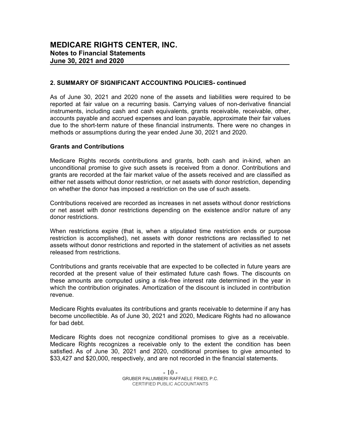MEDICARE RIGHTS CENTER, INC.<br>
Notes to Financial Statements<br>
June 30, 2021 and 2020<br>
2. SUMMARY OF SIGNIFICANT ACCOUNTING POLICIES- continued<br>
As of June 30, 2021 and 2020 none of the assets and liabilities were required t As of June 30, 2021 and 2020 none of the assets and liabilities were required to be reported at fair value on a recurring basis. Carrying values of non-derivative financial instruments, including cash and cash equivalents, grants receivable, receivable, other, accounts payable and accrued expenses and loan payable, approximate their fair values due to the short-term nature of these financial instruments. There were no changes in methods or assumptions during the year ended June 30, 2021 and 2020.

#### Grants and Contributions

Medicare Rights records contributions and grants, both cash and in-kind, when an unconditional promise to give such assets is received from a donor. Contributions and grants are recorded at the fair market value of the assets received and are classified as either net assets without donor restriction, or net assets with donor restriction, depending on whether the donor has imposed a restriction on the use of such assets.

Contributions received are recorded as increases in net assets without donor restrictions or net asset with donor restrictions depending on the existence and/or nature of any donor restrictions.

When restrictions expire (that is, when a stipulated time restriction ends or purpose restriction is accomplished), net assets with donor restrictions are reclassified to net assets without donor restrictions and reported in the statement of activities as net assets released from restrictions.

Contributions and grants receivable that are expected to be collected in future years are recorded at the present value of their estimated future cash flows. The discounts on these amounts are computed using a risk-free interest rate determined in the year in which the contribution originates. Amortization of the discount is included in contribution revenue.

Medicare Rights evaluates its contributions and grants receivable to determine if any has become uncollectible. As of June 30, 2021 and 2020, Medicare Rights had no allowance for bad debt.

Medicare Rights does not recognize conditional promises to give as a receivable. Medicare Rights recognizes a receivable only to the extent the condition has been satisfied. As of June 30, 2021 and 2020, conditional promises to give amounted to \$33,427 and \$20,000, respectively, and are not recorded in the financial statements.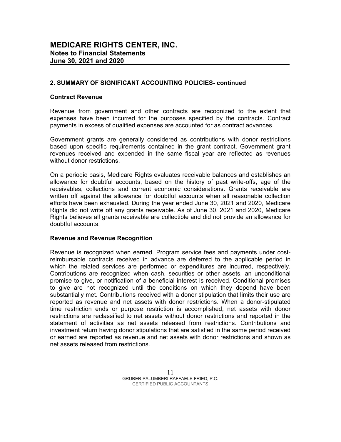#### Contract Revenue

Revenue from government and other contracts are recognized to the extent that expenses have been incurred for the purposes specified by the contracts. Contract payments in excess of qualified expenses are accounted for as contract advances.

Government grants are generally considered as contributions with donor restrictions based upon specific requirements contained in the grant contract. Government grant revenues received and expended in the same fiscal year are reflected as revenues without donor restrictions.

On a periodic basis, Medicare Rights evaluates receivable balances and establishes an allowance for doubtful accounts, based on the history of past write-offs, age of the receivables, collections and current economic considerations. Grants receivable are written off against the allowance for doubtful accounts when all reasonable collection efforts have been exhausted. During the year ended June 30, 2021 and 2020, Medicare Rights did not write off any grants receivable. As of June 30, 2021 and 2020, Medicare Rights believes all grants receivable are collectible and did not provide an allowance for doubtful accounts.

#### Revenue and Revenue Recognition

Revenue is recognized when earned. Program service fees and payments under costreimbursable contracts received in advance are deferred to the applicable period in which the related services are performed or expenditures are incurred, respectively. Contributions are recognized when cash, securities or other assets, an unconditional promise to give, or notification of a beneficial interest is received. Conditional promises to give are not recognized until the conditions on which they depend have been substantially met. Contributions received with a donor stipulation that limits their use are reported as revenue and net assets with donor restrictions. When a donor-stipulated time restriction ends or purpose restriction is accomplished, net assets with donor restrictions are reclassified to net assets without donor restrictions and reported in the statement of activities as net assets released from restrictions. Contributions and investment return having donor stipulations that are satisfied in the same period received or earned are reported as revenue and net assets with donor restrictions and shown as net assets released from restrictions.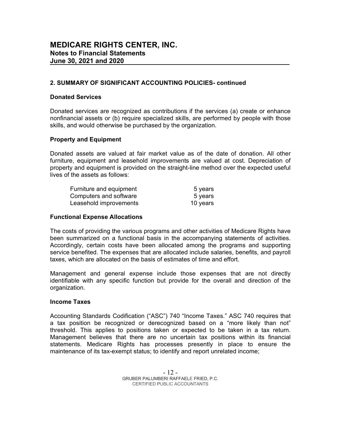#### Donated Services

Donated services are recognized as contributions if the services (a) create or enhance nonfinancial assets or (b) require specialized skills, are performed by people with those skills, and would otherwise be purchased by the organization.

#### Property and Equipment

Donated assets are valued at fair market value as of the date of donation. All other furniture, equipment and leasehold improvements are valued at cost. Depreciation of property and equipment is provided on the straight-line method over the expected useful lives of the assets as follows:

| Furniture and equipment | 5 years  |  |
|-------------------------|----------|--|
| Computers and software  | 5 years  |  |
| Leasehold improvements  | 10 years |  |

#### Functional Expense Allocations

The costs of providing the various programs and other activities of Medicare Rights have been summarized on a functional basis in the accompanying statements of activities. Accordingly, certain costs have been allocated among the programs and supporting service benefited. The expenses that are allocated include salaries, benefits, and payroll taxes, which are allocated on the basis of estimates of time and effort.

Management and general expense include those expenses that are not directly identifiable with any specific function but provide for the overall and direction of the organization.

#### Income Taxes

Accounting Standards Codification ("ASC") 740 "Income Taxes." ASC 740 requires that a tax position be recognized or derecognized based on a "more likely than not" threshold. This applies to positions taken or expected to be taken in a tax return. Management believes that there are no uncertain tax positions within its financial statements. Medicare Rights has processes presently in place to ensure the maintenance of its tax-exempt status; to identify and report unrelated income;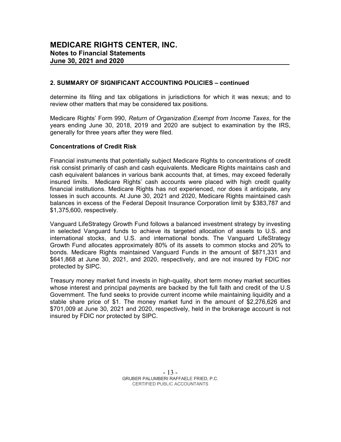determine its filing and tax obligations in jurisdictions for which it was nexus; and to review other matters that may be considered tax positions.

Medicare Rights' Form 990, Return of Organization Exempt from Income Taxes, for the years ending June 30, 2018, 2019 and 2020 are subject to examination by the IRS, generally for three years after they were filed.

#### Concentrations of Credit Risk

Financial instruments that potentially subject Medicare Rights to concentrations of credit risk consist primarily of cash and cash equivalents. Medicare Rights maintains cash and cash equivalent balances in various bank accounts that, at times, may exceed federally insured limits. Medicare Rights' cash accounts were placed with high credit quality financial institutions. Medicare Rights has not experienced, nor does it anticipate, any losses in such accounts. At June 30, 2021 and 2020, Medicare Rights maintained cash balances in excess of the Federal Deposit Insurance Corporation limit by \$383,787 and \$1,375,600, respectively.

Vanguard LifeStrategy Growth Fund follows a balanced investment strategy by investing in selected Vanguard funds to achieve its targeted allocation of assets to U.S. and international stocks, and U.S. and international bonds. The Vanguard LifeStrategy Growth Fund allocates approximately 80% of its assets to common stocks and 20% to bonds. Medicare Rights maintained Vanguard Funds in the amount of \$871,331 and \$641,868 at June 30, 2021, and 2020, respectively, and are not insured by FDIC nor protected by SIPC.

Treasury money market fund invests in high-quality, short term money market securities whose interest and principal payments are backed by the full faith and credit of the U.S Government. The fund seeks to provide current income while maintaining liquidity and a stable share price of \$1. The money market fund in the amount of \$2,276,626 and \$701,009 at June 30, 2021 and 2020, respectively, held in the brokerage account is not insured by FDIC nor protected by SIPC.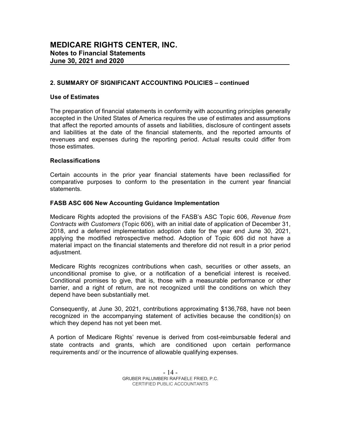#### Use of Estimates

The preparation of financial statements in conformity with accounting principles generally accepted in the United States of America requires the use of estimates and assumptions that affect the reported amounts of assets and liabilities, disclosure of contingent assets and liabilities at the date of the financial statements, and the reported amounts of revenues and expenses during the reporting period. Actual results could differ from those estimates.

#### Reclassifications

Certain accounts in the prior year financial statements have been reclassified for comparative purposes to conform to the presentation in the current year financial statements.

#### FASB ASC 606 New Accounting Guidance Implementation

Medicare Rights adopted the provisions of the FASB's ASC Topic 606, Revenue from Contracts with Customers (Topic 606), with an initial date of application of December 31, 2018, and a deferred implementation adoption date for the year end June 30, 2021, applying the modified retrospective method. Adoption of Topic 606 did not have a material impact on the financial statements and therefore did not result in a prior period adiustment.

Medicare Rights recognizes contributions when cash, securities or other assets, an unconditional promise to give, or a notification of a beneficial interest is received. Conditional promises to give, that is, those with a measurable performance or other barrier, and a right of return, are not recognized until the conditions on which they depend have been substantially met.

Consequently, at June 30, 2021, contributions approximating \$136,768, have not been recognized in the accompanying statement of activities because the condition(s) on which they depend has not yet been met.

A portion of Medicare Rights' revenue is derived from cost-reimbursable federal and state contracts and grants, which are conditioned upon certain performance requirements and/ or the incurrence of allowable qualifying expenses.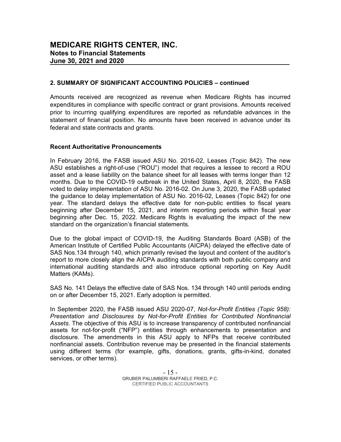Amounts received are recognized as revenue when Medicare Rights has incurred expenditures in compliance with specific contract or grant provisions. Amounts received prior to incurring qualifying expenditures are reported as refundable advances in the statement of financial position. No amounts have been received in advance under its federal and state contracts and grants.

#### Recent Authoritative Pronouncements

In February 2016, the FASB issued ASU No. 2016-02, Leases (Topic 842). The new ASU establishes a right-of-use ("ROU") model that requires a lessee to record a ROU asset and a lease liability on the balance sheet for all leases with terms longer than 12 months. Due to the COVID-19 outbreak in the United States, April 8, 2020, the FASB voted to delay implementation of ASU No. 2016-02. On June 3, 2020, the FASB updated the guidance to delay implementation of ASU No. 2016-02, Leases (Topic 842) for one year. The standard delays the effective date for non-public entities to fiscal years beginning after December 15, 2021, and interim reporting periods within fiscal year beginning after Dec. 15, 2022. Medicare Rights is evaluating the impact of the new standard on the organization's financial statements.

Due to the global impact of COVID-19, the Auditing Standards Board (ASB) of the American Institute of Certified Public Accountants (AICPA) delayed the effective date of SAS Nos.134 through 140, which primarily revised the layout and content of the auditor's report to more closely align the AICPA auditing standards with both public company and international auditing standards and also introduce optional reporting on Key Audit Matters (KAMs).

SAS No. 141 Delays the effective date of SAS Nos. 134 through 140 until periods ending on or after December 15, 2021. Early adoption is permitted.

In September 2020, the FASB issued ASU 2020-07, Not-for-Profit Entities (Topic 958): Presentation and Disclosures by Not-for-Profit Entities for Contributed Nonfinancial Assets. The objective of this ASU is to increase transparency of contributed nonfinancial assets for not-for-profit ("NFP") entities through enhancements to presentation and disclosure. The amendments in this ASU apply to NFPs that receive contributed nonfinancial assets. Contribution revenue may be presented in the financial statements using different terms (for example, gifts, donations, grants, gifts-in-kind, donated services, or other terms).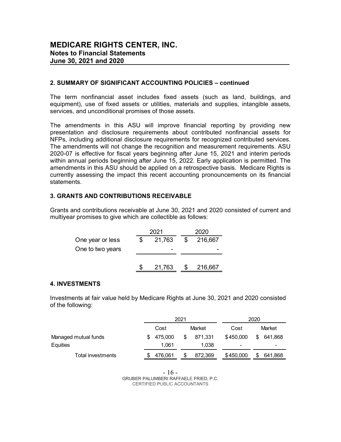The term nonfinancial asset includes fixed assets (such as land, buildings, and equipment), use of fixed assets or utilities, materials and supplies, intangible assets, services, and unconditional promises of those assets.

The amendments in this ASU will improve financial reporting by providing new presentation and disclosure requirements about contributed nonfinancial assets for NFPs, including additional disclosure requirements for recognized contributed services. The amendments will not change the recognition and measurement requirements. ASU 2020-07 is effective for fiscal years beginning after June 15, 2021 and interim periods within annual periods beginning after June 15, 2022. Early application is permitted. The amendments in this ASU should be applied on a retrospective basis. Medicare Rights is currently assessing the impact this recent accounting pronouncements on its financial statements. The term nonfinancial asset includes fixed assets (such as land, buildings, and<br>equipment), use of fixed assets or utilities, materials and supplies, intangible assets,<br>environs, and unconditional promises of those assets n nonfinancial asset includes fixed assets (such as land, buildings, and<br>the state of fixed assets or utilities, materials and supplies, intangible assets,<br>and unconditional promises of those assets.<br>
Parlaments in this A It), use of Txecu assests or utilities, materials and supplies, intangible assets,<br>and unconditional promises of those assets.<br>
Endmemts in this ASU will improve financial reporting by providing are<br>
union and disclosure

#### 3. GRANTS AND CONTRIBUTIONS RECEIVABLE

|                  | 2021         | 2020          |
|------------------|--------------|---------------|
| One year or less | \$<br>21,763 | \$<br>216,667 |
| One to two years |              |               |
|                  |              |               |
|                  | 21,763       | 216,667       |

#### 4. INVESTMENTS

| statements.                                                                                                                                            |      |                  |                |                  |           | currently assessing the impact this recent accounting pronouncements on its financial |  |
|--------------------------------------------------------------------------------------------------------------------------------------------------------|------|------------------|----------------|------------------|-----------|---------------------------------------------------------------------------------------|--|
| <b>3. GRANTS AND CONTRIBUTIONS RECEIVABLE</b>                                                                                                          |      |                  |                |                  |           |                                                                                       |  |
| Grants and contributions receivable at June 30, 2021 and 2020 consisted of current and<br>multiyear promises to give which are collectible as follows: |      |                  |                |                  |           |                                                                                       |  |
|                                                                                                                                                        |      | 2021             |                | 2020             |           |                                                                                       |  |
| One year or less                                                                                                                                       | \$   | 21,763           | $\mathfrak{L}$ | 216,667          |           |                                                                                       |  |
| One to two years                                                                                                                                       |      |                  |                |                  |           |                                                                                       |  |
|                                                                                                                                                        | - 55 | 21,763           | \$             | 216,667          |           |                                                                                       |  |
| <b>4. INVESTMENTS</b>                                                                                                                                  |      |                  |                |                  |           |                                                                                       |  |
| Investments at fair value held by Medicare Rights at June 30, 2021 and 2020 consisted                                                                  |      |                  |                |                  |           |                                                                                       |  |
| of the following:                                                                                                                                      |      |                  |                |                  |           |                                                                                       |  |
|                                                                                                                                                        |      |                  | 2021           |                  |           | 2020                                                                                  |  |
|                                                                                                                                                        |      | Cost             |                | Market           | Cost      | Market                                                                                |  |
| Managed mutual funds<br>Equities                                                                                                                       | \$   | 475,000<br>1,061 | \$             | 871,331<br>1,038 | \$450,000 | \$ 641,868                                                                            |  |
| <b>Total investments</b>                                                                                                                               | \$.  | 476,061          | \$             | 872,369          | \$450,000 | 641,868<br>\$                                                                         |  |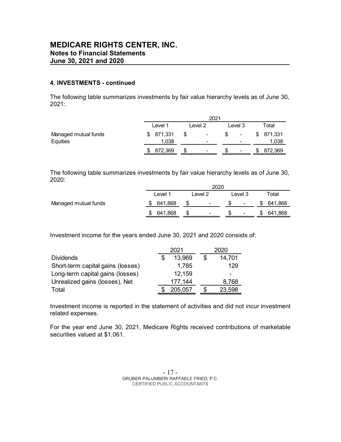#### 4. INVESTMENTS - continued

| <b>MEDICARE RIGHTS CENTER, INC.</b>                                                               |                          |                                      |         |                    |
|---------------------------------------------------------------------------------------------------|--------------------------|--------------------------------------|---------|--------------------|
| <b>Notes to Financial Statements</b>                                                              |                          |                                      |         |                    |
| June 30, 2021 and 2020                                                                            |                          |                                      |         |                    |
|                                                                                                   |                          |                                      |         |                    |
| 4. INVESTMENTS - continued                                                                        |                          |                                      |         |                    |
|                                                                                                   |                          |                                      |         |                    |
| The following table summarizes investments by fair value hierarchy levels as of June 30,<br>2021: |                          |                                      |         |                    |
|                                                                                                   |                          |                                      |         |                    |
|                                                                                                   |                          | 2021                                 |         |                    |
|                                                                                                   | Level 1                  | Level 2                              | Level 3 | Total              |
| Managed mutual funds<br>Equities                                                                  | 871,331<br>\$<br>1,038   | \$                                   | \$<br>٠ | \$871,331<br>1,038 |
|                                                                                                   | \$ 872,369               | \$                                   | \$      | \$872,369          |
|                                                                                                   |                          |                                      |         |                    |
|                                                                                                   |                          |                                      |         |                    |
| The following table summarizes investments by fair value hierarchy levels as of June 30,          |                          |                                      |         |                    |
| 2020:                                                                                             |                          |                                      | 2020    |                    |
|                                                                                                   | Level 1                  | Level 2                              | Level 3 | Total              |
| Managed mutual funds                                                                              | 641,868<br>\$.           | \$                                   |         | 641,868<br>\$      |
|                                                                                                   | 641,868<br>$\frac{1}{2}$ | \$                                   | \$      | \$641,868          |
|                                                                                                   |                          |                                      |         |                    |
|                                                                                                   |                          |                                      |         |                    |
| Investment income for the years ended June 30, 2021 and 2020 consists of:                         |                          |                                      |         |                    |
|                                                                                                   | 2021                     |                                      | 2020    |                    |
| <b>Dividends</b>                                                                                  | \$                       | $\boldsymbol{\mathsf{\$}}$<br>13,969 | 14,701  |                    |
| Short-term capital gains (losses)                                                                 |                          | 1,785                                | 129     |                    |
| Long-term capital gains (losses)                                                                  |                          | 12,159                               |         |                    |
| Unrealized gains (losses), Net                                                                    |                          | 177,144                              | 8,768   |                    |

| ∟evel ′       | Level 2                  | ∟evel 3 | Total   |
|---------------|--------------------------|---------|---------|
| 641,868       | $\overline{\phantom{a}}$ | $\sim$  | 641,868 |
| 641,868<br>\$ | $\overline{\phantom{0}}$ | $\sim$  | 641,868 |
|               |                          |         | 2020    |

For the year end June 30, 2021, Medicare Rights received contributions of marketable securities valued at \$1,061.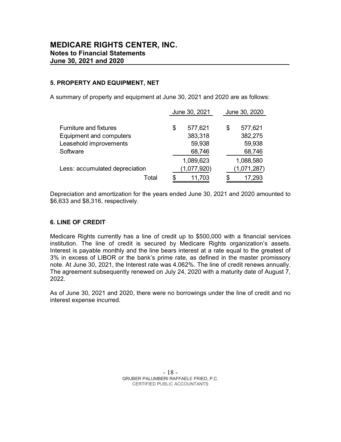#### 5. PROPERTY AND EQUIPMENT, NET

| <b>EDICARE RIGHTS CENTER, INC.</b><br>tes to Financial Statements          |               |               |
|----------------------------------------------------------------------------|---------------|---------------|
| e 30, 2021 and 2020                                                        |               |               |
|                                                                            |               |               |
|                                                                            |               |               |
|                                                                            |               |               |
| ROPERTY AND EQUIPMENT, NET                                                 |               |               |
| ummary of property and equipment at June 30, 2021 and 2020 are as follows: |               |               |
|                                                                            |               |               |
|                                                                            | June 30, 2021 | June 30, 2020 |
| <b>Furniture and fixtures</b>                                              | \$<br>577,621 | \$<br>577,621 |
| <b>Equipment and computers</b>                                             | 383,318       | 382,275       |
| Leasehold improvements                                                     | 59,938        | 59,938        |
| Software                                                                   | 68,746        | 68,746        |
|                                                                            | 1,089,623     | 1,088,580     |
| Less: accumulated depreciation                                             | (1,077,920)   | (1,071,287)   |

#### 6. LINE OF CREDIT

Medicare Rights currently has a line of credit up to \$500,000 with a financial services institution. The line of credit is secured by Medicare Rights organization's assets. Interest is payable monthly and the line bears interest at a rate equal to the greatest of 3% in excess of LIBOR or the bank's prime rate, as defined in the master promissory note. At June 30, 2021, the Interest rate was 4.062%. The line of credit renews annually. The agreement subsequently renewed on July 24, 2020 with a maturity date of August 7, 2022.

As of June 30, 2021 and 2020, there were no borrowings under the line of credit and no interest expense incurred.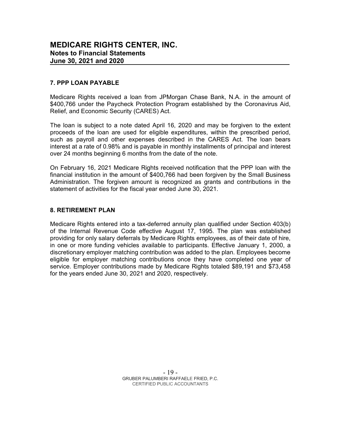#### 7. PPP LOAN PAYABLE

Medicare Rights received a loan from JPMorgan Chase Bank, N.A. in the amount of \$400,766 under the Paycheck Protection Program established by the Coronavirus Aid, Relief, and Economic Security (CARES) Act.

The loan is subject to a note dated April 16, 2020 and may be forgiven to the extent proceeds of the loan are used for eligible expenditures, within the prescribed period, such as payroll and other expenses described in the CARES Act. The loan bears interest at a rate of 0.98% and is payable in monthly installments of principal and interest over 24 months beginning 6 months from the date of the note.

On February 16, 2021 Medicare Rights received notification that the PPP loan with the financial institution in the amount of \$400,766 had been forgiven by the Small Business Administration. The forgiven amount is recognized as grants and contributions in the statement of activities for the fiscal year ended June 30, 2021.

#### 8. RETIREMENT PLAN

Medicare Rights entered into a tax-deferred annuity plan qualified under Section 403(b) of the Internal Revenue Code effective August 17, 1995. The plan was established providing for only salary deferrals by Medicare Rights employees, as of their date of hire, in one or more funding vehicles available to participants. Effective January 1, 2000, a discretionary employer matching contribution was added to the plan. Employees become eligible for employer matching contributions once they have completed one year of service. Employer contributions made by Medicare Rights totaled \$89,191 and \$73,458 for the years ended June 30, 2021 and 2020, respectively.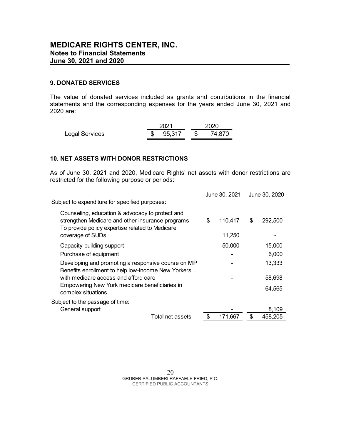#### 9. DONATED SERVICES

The value of donated services included as grants and contributions in the financial statements and the corresponding expenses for the years ended June 30, 2021 and **MEDICARE RIGHTS CENTER, INC.**<br>
Notes to Financial Statements<br>
June 30, 2021 and 2020<br>
9. DONATED SERVICES<br>
The value of donated services included as grants and contributions in the financial<br>
statements and the correspon

|                | 2021                | 2020 |  |  |
|----------------|---------------------|------|--|--|
| Legal Services | \$ 95,317 \$ 74,870 |      |  |  |

#### 10. NET ASSETS WITH DONOR RESTRICTIONS

| June 30, 2021 and 2020                                                                                                                                                              | <b>Notes to Financial Statements</b> |      |               |                        |  |
|-------------------------------------------------------------------------------------------------------------------------------------------------------------------------------------|--------------------------------------|------|---------------|------------------------|--|
| <b>9. DONATED SERVICES</b>                                                                                                                                                          |                                      |      |               |                        |  |
| The value of donated services included as grants and contributions in the financial<br>statements and the corresponding expenses for the years ended June 30, 2021 and<br>2020 are: |                                      |      |               |                        |  |
| <b>Legal Services</b>                                                                                                                                                               | 2021<br>95,317<br>\$                 | 2020 | 74,870        |                        |  |
| <b>10. NET ASSETS WITH DONOR RESTRICTIONS</b>                                                                                                                                       |                                      |      |               |                        |  |
| As of June 30, 2021 and 2020, Medicare Rights' net assets with donor restrictions are<br>restricted for the following purpose or periods:                                           |                                      |      |               |                        |  |
| Subject to expenditure for specified purposes:                                                                                                                                      |                                      |      | June 30, 2021 | June 30, 2020          |  |
| Counseling, education & advocacy to protect and                                                                                                                                     |                                      |      |               |                        |  |
| strengthen Medicare and other insurance programs<br>To provide policy expertise related to Medicare                                                                                 |                                      | \$   | 110,417       | \$<br>292,500          |  |
| coverage of SUDs                                                                                                                                                                    |                                      |      | 11,250        |                        |  |
| Capacity-building support                                                                                                                                                           |                                      |      | 50,000        | 15,000                 |  |
| Purchase of equipment                                                                                                                                                               |                                      |      |               | 6,000                  |  |
| Developing and promoting a responsive course on MIP<br>Benefits enrollment to help low-income New Yorkers                                                                           |                                      |      |               | 13,333                 |  |
| with medicare access and afford care                                                                                                                                                |                                      |      |               | 58,698                 |  |
| Empowering New York medicare beneficiaries in<br>complex situations                                                                                                                 |                                      |      |               | 64,565                 |  |
| Subject to the passage of time:                                                                                                                                                     |                                      |      |               |                        |  |
| General support                                                                                                                                                                     | Total net assets                     | \$   | 171,667       | \$<br>8,109<br>458,205 |  |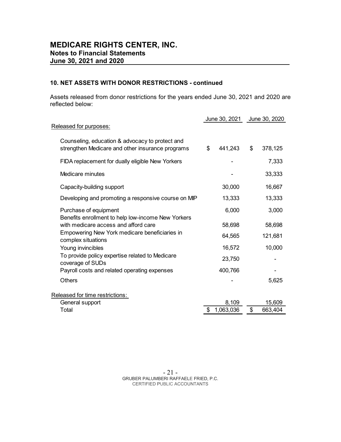#### 10. NET ASSETS WITH DONOR RESTRICTIONS - continued

| <b>MEDICARE RIGHTS CENTER, INC.</b><br><b>Notes to Financial Statements</b>                                |                                |         |    |         |  |
|------------------------------------------------------------------------------------------------------------|--------------------------------|---------|----|---------|--|
| <b>June 30, 2021 and 2020</b>                                                                              |                                |         |    |         |  |
|                                                                                                            |                                |         |    |         |  |
| 10. NET ASSETS WITH DONOR RESTRICTIONS - continued                                                         |                                |         |    |         |  |
| Assets released from donor restrictions for the years ended June 30, 2021 and 2020 are<br>reflected below: |                                |         |    |         |  |
|                                                                                                            | June 30, 2021<br>June 30, 2020 |         |    |         |  |
| Released for purposes:                                                                                     |                                |         |    |         |  |
| Counseling, education & advocacy to protect and                                                            |                                |         |    |         |  |
| strengthen Medicare and other insurance programs                                                           | $\frac{1}{2}$                  | 441,243 | \$ | 378,125 |  |
| FIDA replacement for dually eligible New Yorkers                                                           |                                |         |    | 7,333   |  |
| Medicare minutes                                                                                           |                                |         |    | 33,333  |  |
| Capacity-building support                                                                                  |                                | 30,000  |    | 16,667  |  |
| Developing and promoting a responsive course on MIP                                                        |                                | 13,333  |    | 13,333  |  |
| Purchase of equipment                                                                                      |                                | 6,000   |    | 3,000   |  |
| Benefits enrollment to help low-income New Yorkers<br>with medicare access and afford care                 |                                | 58,698  |    | 58,698  |  |
| Empowering New York medicare beneficiaries in                                                              |                                | 64,565  |    | 121,681 |  |
| complex situations<br>Young invincibles                                                                    |                                | 16,572  |    | 10,000  |  |
| To provide policy expertise related to Medicare                                                            |                                | 23,750  |    |         |  |
| coverage of SUDs<br>Payroll costs and related operating expenses                                           |                                | 400,766 |    |         |  |
| Others                                                                                                     |                                |         |    | 5,625   |  |
| Released for time restrictions:                                                                            |                                |         |    |         |  |
| General support                                                                                            |                                | 8,109   |    | 15,609  |  |
| Total                                                                                                      | \$1,063,036                    |         | \$ | 663,404 |  |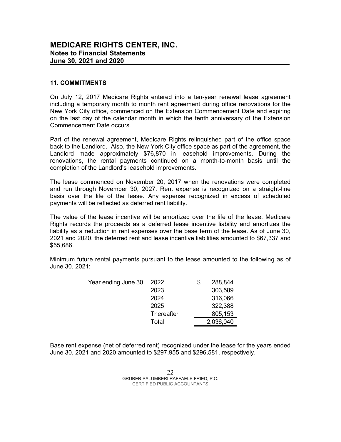#### 11. COMMITMENTS

On July 12, 2017 Medicare Rights entered into a ten-year renewal lease agreement including a temporary month to month rent agreement during office renovations for the New York City office, commenced on the Extension Commencement Date and expiring on the last day of the calendar month in which the tenth anniversary of the Extension Commencement Date occurs.

Part of the renewal agreement, Medicare Rights relinquished part of the office space back to the Landlord. Also, the New York City office space as part of the agreement, the Landlord made approximately \$76,870 in leasehold improvements. During the renovations, the rental payments continued on a month-to-month basis until the completion of the Landlord's leasehold improvements.

The lease commenced on November 20, 2017 when the renovations were completed and run through November 30, 2027. Rent expense is recognized on a straight-line basis over the life of the lease. Any expense recognized in excess of scheduled payments will be reflected as deferred rent liability.

The value of the lease incentive will be amortized over the life of the lease. Medicare Rights records the proceeds as a deferred lease incentive liability and amortizes the liability as a reduction in rent expenses over the base term of the lease. As of June 30, 2021 and 2020, the deferred rent and lease incentive liabilities amounted to \$67,337 and \$55,686. newal agreement, Mediciare Rights relinquished part of the office space<br>
radiord. Also, the New York City office space as part of the agreement, the<br>
de approximately \$76,870 in leasehold improvements. During the<br>
the tent York City office space as part of the agreement, the 6,870 in leasehold improvements. During the continued on a month-to-month basis until the dimprovements.<br>
Frequences are continued on a month-to-month basis until the d continued on a month-to-month basis until the<br>
20, 2017 when the renovations were completed<br>
27. Rent expense is recognized on a straight-line<br>
they expense recognized in excess of scheduled<br>
drent liability.<br>
1 be amorti of million employements.<br>
The approximation were completed<br>
The approximation excess of scheduled<br>
the amortized over the life of the lease. Medicare<br>
leferred lease incentive liability and amortizes the<br>
leferred lease in

Minimum future rental payments pursuant to the lease amounted to the following as of June 30, 2021:

| Year ending June 30, 2022 |            | S | 288,844   |
|---------------------------|------------|---|-----------|
|                           | 2023       |   | 303,589   |
|                           | 2024       |   | 316,066   |
|                           | 2025       |   | 322,388   |
|                           | Thereafter |   | 805,153   |
|                           | Total      |   | 2,036,040 |

Base rent expense (net of deferred rent) recognized under the lease for the years ended June 30, 2021 and 2020 amounted to \$297,955 and \$296,581, respectively.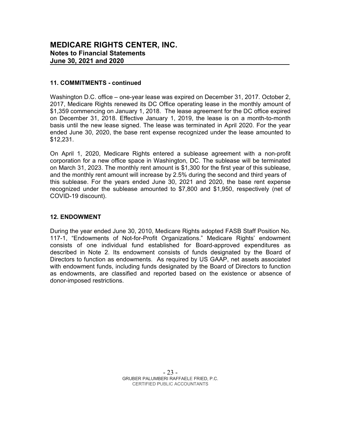#### 11. COMMITMENTS - continued

Washington D.C. office – one-year lease was expired on December 31, 2017. October 2, 2017, Medicare Rights renewed its DC Office operating lease in the monthly amount of \$1,359 commencing on January 1, 2018. The lease agreement for the DC office expired on December 31, 2018. Effective January 1, 2019, the lease is on a month-to-month basis until the new lease signed. The lease was terminated in April 2020. For the year ended June 30, 2020, the base rent expense recognized under the lease amounted to \$12,231.

On April 1, 2020, Medicare Rights entered a sublease agreement with a non-profit corporation for a new office space in Washington, DC. The sublease will be terminated on March 31, 2023. The monthly rent amount is \$1,300 for the first year of this sublease, and the monthly rent amount will increase by 2.5% during the second and third years of this sublease. For the years ended June 30, 2021 and 2020, the base rent expense recognized under the sublease amounted to \$7,800 and \$1,950, respectively (net of COVID-19 discount).

#### 12. ENDOWMENT

During the year ended June 30, 2010, Medicare Rights adopted FASB Staff Position No. 117-1, "Endowments of Not-for-Profit Organizations." Medicare Rights' endowment consists of one individual fund established for Board-approved expenditures as described in Note 2. Its endowment consists of funds designated by the Board of Directors to function as endowments. As required by US GAAP, net assets associated with endowment funds, including funds designated by the Board of Directors to function as endowments, are classified and reported based on the existence or absence of donor-imposed restrictions.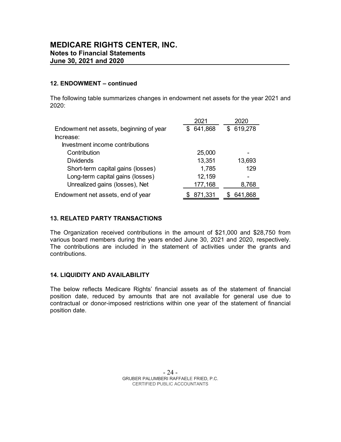#### 12. ENDOWMENT – continued

| <b>//AEDICARE RIGHTS CENTER, INC.</b><br><b>lotes to Financial Statements</b><br>une 30, 2021 and 2020 |                   |           |  |
|--------------------------------------------------------------------------------------------------------|-------------------|-----------|--|
|                                                                                                        |                   |           |  |
| 2. ENDOWMENT - continued                                                                               |                   |           |  |
|                                                                                                        |                   |           |  |
| he following table summarizes changes in endowment net assets for the year 2021 and<br>020:            |                   |           |  |
|                                                                                                        | 2021              | 2020      |  |
| Endowment net assets, beginning of year<br>Increase:                                                   | \$ 641,868        | \$619,278 |  |
| Investment income contributions                                                                        |                   |           |  |
| Contribution                                                                                           | 25,000            |           |  |
| <b>Dividends</b>                                                                                       | 13,351            | 13,693    |  |
| Short-term capital gains (losses)                                                                      | 1,785             | 129       |  |
| Long-term capital gains (losses)<br>Unrealized gains (losses), Net                                     | 12,159<br>177,168 | 8,768     |  |

#### 13. RELATED PARTY TRANSACTIONS

The Organization received contributions in the amount of \$21,000 and \$28,750 from various board members during the years ended June 30, 2021 and 2020, respectively. The contributions are included in the statement of activities under the grants and contributions.

#### 14. LIQUIDITY AND AVAILABILITY

The below reflects Medicare Rights' financial assets as of the statement of financial position date, reduced by amounts that are not available for general use due to contractual or donor-imposed restrictions within one year of the statement of financial position date.